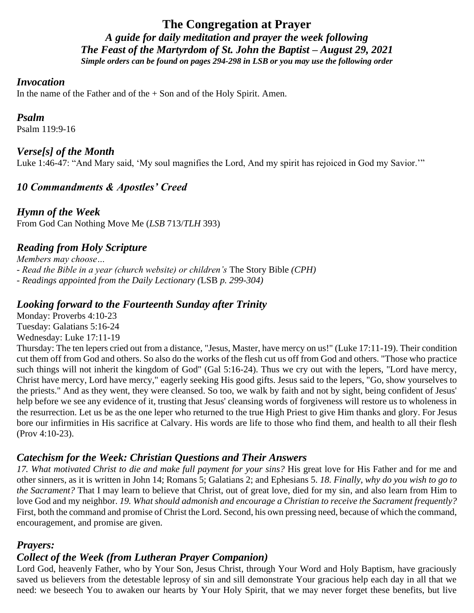# **The Congregation at Prayer** *A guide for daily meditation and prayer the week following The Feast of the Martyrdom of St. John the Baptist – August 29, 2021 Simple orders can be found on pages 294-298 in LSB or you may use the following order*

#### *Invocation*

In the name of the Father and of the  $+$  Son and of the Holy Spirit. Amen.

#### *Psalm*

Psalm 119:9-16

## *Verse[s] of the Month*

Luke 1:46-47: "And Mary said, 'My soul magnifies the Lord, And my spirit has rejoiced in God my Savior.'"

# *10 Commandments & Apostles' Creed*

*Hymn of the Week* From God Can Nothing Move Me (*LSB* 713/*TLH* 393)

# *Reading from Holy Scripture*

*Members may choose… - Read the Bible in a year (church website) or children's* The Story Bible *(CPH) - Readings appointed from the Daily Lectionary (*LSB *p. 299-304)*

#### *Looking forward to the Fourteenth Sunday after Trinity*

Monday: Proverbs 4:10-23 Tuesday: Galatians 5:16-24 Wednesday: Luke 17:11-19

Thursday: The ten lepers cried out from a distance, "Jesus, Master, have mercy on us!" (Luke 17:11-19). Their condition cut them off from God and others. So also do the works of the flesh cut us off from God and others. "Those who practice such things will not inherit the kingdom of God" (Gal 5:16-24). Thus we cry out with the lepers, "Lord have mercy, Christ have mercy, Lord have mercy," eagerly seeking His good gifts. Jesus said to the lepers, "Go, show yourselves to the priests." And as they went, they were cleansed. So too, we walk by faith and not by sight, being confident of Jesus' help before we see any evidence of it, trusting that Jesus' cleansing words of forgiveness will restore us to wholeness in the resurrection. Let us be as the one leper who returned to the true High Priest to give Him thanks and glory. For Jesus bore our infirmities in His sacrifice at Calvary. His words are life to those who find them, and health to all their flesh (Prov 4:10-23).

## *Catechism for the Week: Christian Questions and Their Answers*

*17. What motivated Christ to die and make full payment for your sins?* His great love for His Father and for me and other sinners, as it is written in John 14; Romans 5; Galatians 2; and Ephesians 5. *18. Finally, why do you wish to go to the Sacrament?* That I may learn to believe that Christ, out of great love, died for my sin, and also learn from Him to love God and my neighbor. *19. What should admonish and encourage a Christian to receive the Sacrament frequently?*  First, both the command and promise of Christ the Lord. Second, his own pressing need, because of which the command, encouragement, and promise are given.

## *Prayers:*

# *Collect of the Week (from Lutheran Prayer Companion)*

Lord God, heavenly Father, who by Your Son, Jesus Christ, through Your Word and Holy Baptism, have graciously saved us believers from the detestable leprosy of sin and sill demonstrate Your gracious help each day in all that we need: we beseech You to awaken our hearts by Your Holy Spirit, that we may never forget these benefits, but live